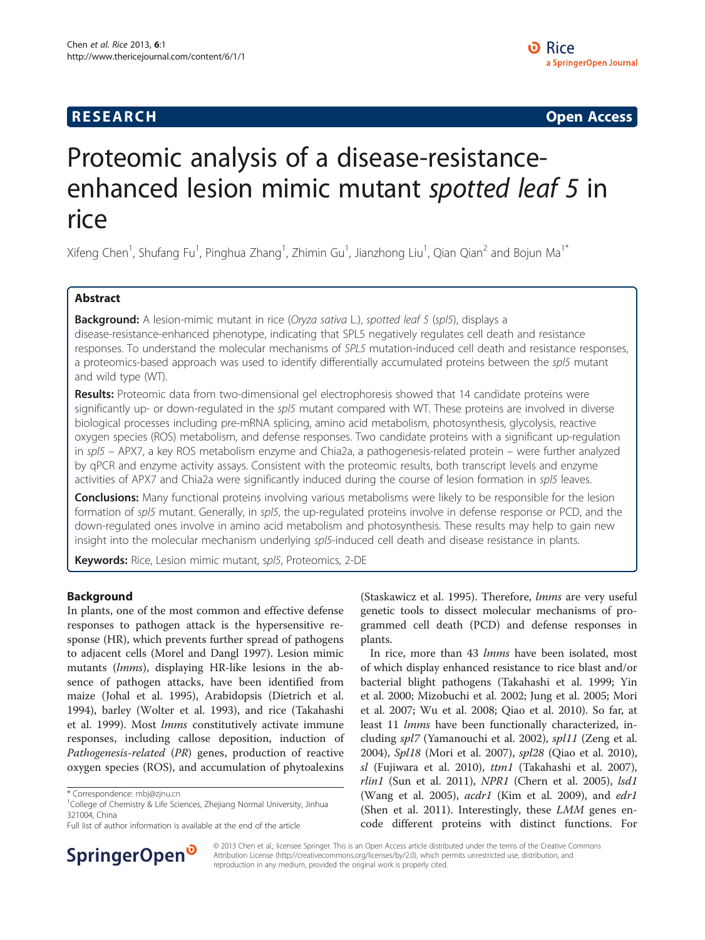# **RESEARCH CHE Open Access**

# Proteomic analysis of a disease-resistanceenhanced lesion mimic mutant spotted leaf 5 in rice

Xifeng Chen<sup>1</sup>, Shufang Fu<sup>1</sup>, Pinghua Zhang<sup>1</sup>, Zhimin Gu<sup>1</sup>, Jianzhong Liu<sup>1</sup>, Qian Qian<sup>2</sup> and Bojun Ma<sup>1\*</sup>

# Abstract

Background: A lesion-mimic mutant in rice (Oryza sativa L.), spotted leaf 5 (spl5), displays a disease-resistance-enhanced phenotype, indicating that SPL5 negatively regulates cell death and resistance responses. To understand the molecular mechanisms of SPL5 mutation-induced cell death and resistance responses, a proteomics-based approach was used to identify differentially accumulated proteins between the spl5 mutant and wild type (WT).

Results: Proteomic data from two-dimensional gel electrophoresis showed that 14 candidate proteins were significantly up- or down-regulated in the spl5 mutant compared with WT. These proteins are involved in diverse biological processes including pre-mRNA splicing, amino acid metabolism, photosynthesis, glycolysis, reactive oxygen species (ROS) metabolism, and defense responses. Two candidate proteins with a significant up-regulation in spl5 – APX7, a key ROS metabolism enzyme and Chia2a, a pathogenesis-related protein – were further analyzed by qPCR and enzyme activity assays. Consistent with the proteomic results, both transcript levels and enzyme activities of APX7 and Chia2a were significantly induced during the course of lesion formation in spl5 leaves.

**Conclusions:** Many functional proteins involving various metabolisms were likely to be responsible for the lesion formation of spl5 mutant. Generally, in spl5, the up-regulated proteins involve in defense response or PCD, and the down-regulated ones involve in amino acid metabolism and photosynthesis. These results may help to gain new insight into the molecular mechanism underlying spl5-induced cell death and disease resistance in plants.

Keywords: Rice, Lesion mimic mutant, spl5, Proteomics, 2-DE

# Background

In plants, one of the most common and effective defense responses to pathogen attack is the hypersensitive response (HR), which prevents further spread of pathogens to adjacent cells (Morel and Dangl [1997](#page-8-0)). Lesion mimic mutants (lmms), displaying HR-like lesions in the absence of pathogen attacks, have been identified from maize (Johal et al. [1995](#page-8-0)), Arabidopsis (Dietrich et al. [1994](#page-7-0)), barley (Wolter et al. [1993](#page-8-0)), and rice (Takahashi et al. [1999](#page-8-0)). Most lmms constitutively activate immune responses, including callose deposition, induction of Pathogenesis-related (PR) genes, production of reactive oxygen species (ROS), and accumulation of phytoalexins



In rice, more than 43 lmms have been isolated, most of which display enhanced resistance to rice blast and/or bacterial blight pathogens (Takahashi et al. [1999;](#page-8-0) Yin et al. [2000;](#page-9-0) Mizobuchi et al. [2002;](#page-8-0) Jung et al. [2005;](#page-8-0) Mori et al. [2007;](#page-8-0) Wu et al. [2008;](#page-9-0) Qiao et al. [2010\)](#page-8-0). So far, at least 11 lmms have been functionally characterized, including spl7 (Yamanouchi et al. [2002](#page-9-0)), spl11 (Zeng et al. [2004](#page-9-0)), Spl18 (Mori et al. [2007\)](#page-8-0), spl28 (Qiao et al. [2010](#page-8-0)), sl (Fujiwara et al. [2010](#page-8-0)), ttm1 (Takahashi et al. [2007](#page-8-0)), rlin1 (Sun et al. [2011\)](#page-8-0), NPR1 (Chern et al. [2005](#page-7-0)), lsd1 (Wang et al. [2005\)](#page-8-0), *acdr1* (Kim et al. [2009\)](#page-8-0), and *edr1* (Shen et al. [2011\)](#page-8-0). Interestingly, these  $LMM$  genes encode different proteins with distinct functions. For



© 2013 Chen et al.; licensee Springer. This is an Open Access article distributed under the terms of the Creative Commons Attribution License (<http://creativecommons.org/licenses/by/2.0>), which permits unrestricted use, distribution, and reproduction in any medium, provided the original work is properly cited.

<sup>\*</sup> Correspondence: [mbj@zjnu.cn](mailto:mbj@zjnu.cn) <sup>1</sup>

<sup>&</sup>lt;sup>1</sup>College of Chemistry & Life Sciences, Zhejiang Normal University, Jinhua 321004, China

Full list of author information is available at the end of the article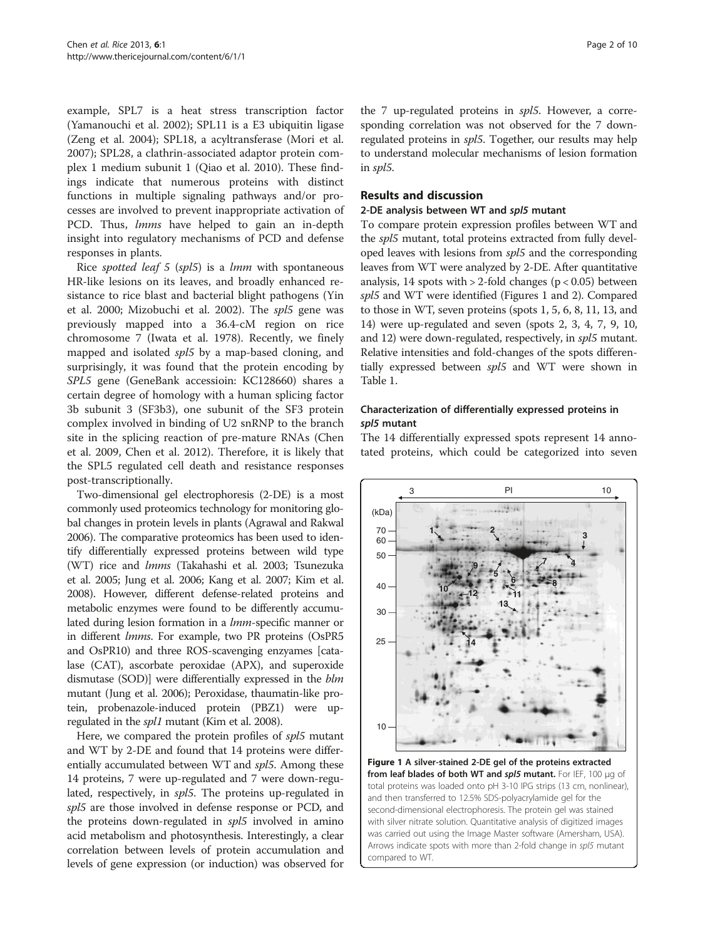<span id="page-1-0"></span>example, SPL7 is a heat stress transcription factor (Yamanouchi et al. [2002](#page-9-0)); SPL11 is a E3 ubiquitin ligase (Zeng et al. [2004\)](#page-9-0); SPL18, a acyltransferase (Mori et al. [2007](#page-8-0)); SPL28, a clathrin-associated adaptor protein complex 1 medium subunit 1 (Qiao et al. [2010](#page-8-0)). These findings indicate that numerous proteins with distinct functions in multiple signaling pathways and/or processes are involved to prevent inappropriate activation of PCD. Thus, *lmms* have helped to gain an in-depth insight into regulatory mechanisms of PCD and defense responses in plants.

Rice spotted leaf 5 (spl5) is a lmm with spontaneous HR-like lesions on its leaves, and broadly enhanced resistance to rice blast and bacterial blight pathogens (Yin et al. [2000;](#page-9-0) Mizobuchi et al. [2002](#page-8-0)). The spl5 gene was previously mapped into a 36.4-cM region on rice chromosome 7 (Iwata et al. [1978](#page-8-0)). Recently, we finely mapped and isolated *spl5* by a map-based cloning, and surprisingly, it was found that the protein encoding by SPL5 gene (GeneBank accessioin: KC128660) shares a certain degree of homology with a human splicing factor 3b subunit 3 (SF3b3), one subunit of the SF3 protein complex involved in binding of U2 snRNP to the branch site in the splicing reaction of pre-mature RNAs (Chen et al. [2009](#page-7-0), Chen et al. [2012](#page-7-0)). Therefore, it is likely that the SPL5 regulated cell death and resistance responses post-transcriptionally.

Two-dimensional gel electrophoresis (2-DE) is a most commonly used proteomics technology for monitoring global changes in protein levels in plants (Agrawal and Rakwal [2006\)](#page-7-0). The comparative proteomics has been used to identify differentially expressed proteins between wild type (WT) rice and lmms (Takahashi et al. [2003](#page-8-0); Tsunezuka et al. [2005;](#page-8-0) Jung et al. [2006](#page-8-0); Kang et al. [2007;](#page-8-0) Kim et al. [2008\)](#page-8-0). However, different defense-related proteins and metabolic enzymes were found to be differently accumulated during lesion formation in a *lmm*-specific manner or in different lmms. For example, two PR proteins (OsPR5 and OsPR10) and three ROS-scavenging enzyames [catalase (CAT), ascorbate peroxidae (APX), and superoxide dismutase (SOD)] were differentially expressed in the blm mutant (Jung et al. [2006\)](#page-8-0); Peroxidase, thaumatin-like protein, probenazole-induced protein (PBZ1) were upregulated in the *spl1* mutant (Kim et al. [2008\)](#page-8-0).

Here, we compared the protein profiles of *spl5* mutant and WT by 2-DE and found that 14 proteins were differentially accumulated between WT and spl5. Among these 14 proteins, 7 were up-regulated and 7 were down-regulated, respectively, in spl5. The proteins up-regulated in spl5 are those involved in defense response or PCD, and the proteins down-regulated in spl5 involved in amino acid metabolism and photosynthesis. Interestingly, a clear correlation between levels of protein accumulation and levels of gene expression (or induction) was observed for the 7 up-regulated proteins in spl5. However, a corresponding correlation was not observed for the 7 downregulated proteins in spl5. Together, our results may help to understand molecular mechanisms of lesion formation in spl5.

# Results and discussion

# 2-DE analysis between WT and spl5 mutant

To compare protein expression profiles between WT and the spl5 mutant, total proteins extracted from fully developed leaves with lesions from spl5 and the corresponding leaves from WT were analyzed by 2-DE. After quantitative analysis, 14 spots with  $> 2$ -fold changes ( $p < 0.05$ ) between spl5 and WT were identified (Figures 1 and [2](#page-2-0)). Compared to those in WT, seven proteins (spots 1, 5, 6, 8, 11, 13, and 14) were up-regulated and seven (spots 2, 3, 4, 7, 9, 10, and 12) were down-regulated, respectively, in spl5 mutant. Relative intensities and fold-changes of the spots differentially expressed between spl5 and WT were shown in Table [1.](#page-3-0)

# Characterization of differentially expressed proteins in spl5 mutant

The 14 differentially expressed spots represent 14 annotated proteins, which could be categorized into seven



Figure 1 A silver-stained 2-DE gel of the proteins extracted from leaf blades of both WT and spl5 mutant. For IEF, 100 μg of total proteins was loaded onto pH 3-10 IPG strips (13 cm, nonlinear), and then transferred to 12.5% SDS-polyacrylamide gel for the second-dimensional electrophoresis. The protein gel was stained with silver nitrate solution. Quantitative analysis of digitized images was carried out using the Image Master software (Amersham, USA). Arrows indicate spots with more than 2-fold change in spl5 mutant compared to WT.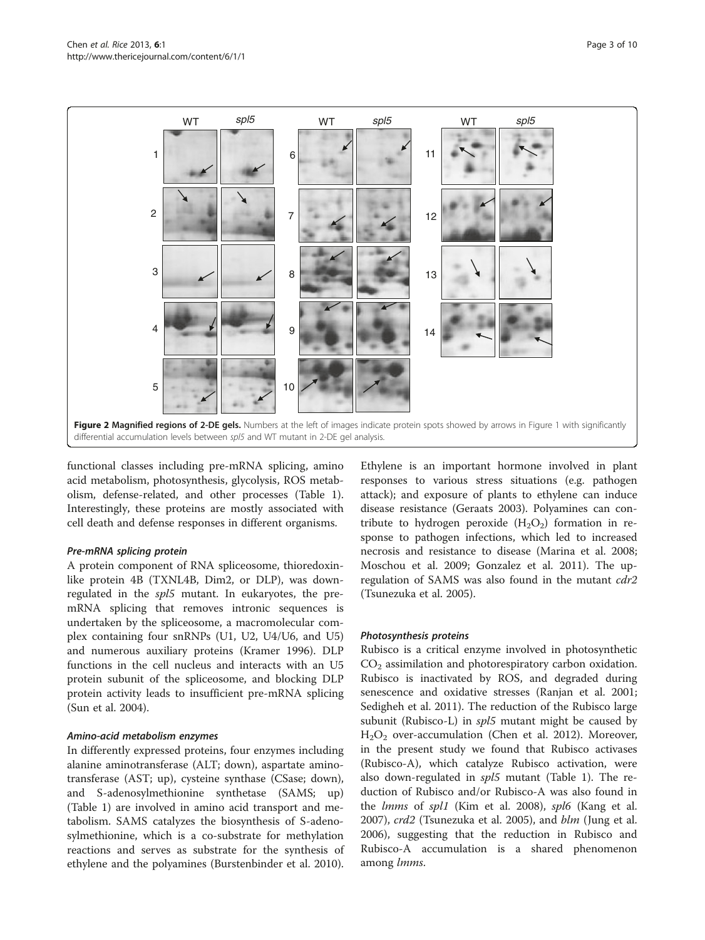<span id="page-2-0"></span>

functional classes including pre-mRNA splicing, amino acid metabolism, photosynthesis, glycolysis, ROS metabolism, defense-related, and other processes (Table [1](#page-3-0)). Interestingly, these proteins are mostly associated with cell death and defense responses in different organisms.

#### Pre-mRNA splicing protein

A protein component of RNA spliceosome, thioredoxinlike protein 4B (TXNL4B, Dim2, or DLP), was downregulated in the spl5 mutant. In eukaryotes, the premRNA splicing that removes intronic sequences is undertaken by the spliceosome, a macromolecular complex containing four snRNPs (U1, U2, U4/U6, and U5) and numerous auxiliary proteins (Kramer [1996\)](#page-8-0). DLP functions in the cell nucleus and interacts with an U5 protein subunit of the spliceosome, and blocking DLP protein activity leads to insufficient pre-mRNA splicing (Sun et al. [2004\)](#page-8-0).

#### Amino-acid metabolism enzymes

In differently expressed proteins, four enzymes including alanine aminotransferase (ALT; down), aspartate aminotransferase (AST; up), cysteine synthase (CSase; down), and S-adenosylmethionine synthetase (SAMS; up) (Table [1\)](#page-3-0) are involved in amino acid transport and metabolism. SAMS catalyzes the biosynthesis of S-adenosylmethionine, which is a co-substrate for methylation reactions and serves as substrate for the synthesis of ethylene and the polyamines (Burstenbinder et al. [2010](#page-7-0)).

Ethylene is an important hormone involved in plant responses to various stress situations (e.g. pathogen attack); and exposure of plants to ethylene can induce disease resistance (Geraats [2003\)](#page-8-0). Polyamines can contribute to hydrogen peroxide  $(H_2O_2)$  formation in response to pathogen infections, which led to increased necrosis and resistance to disease (Marina et al. [2008](#page-8-0); Moschou et al. [2009](#page-8-0); Gonzalez et al. [2011](#page-8-0)). The upregulation of SAMS was also found in the mutant cdr2 (Tsunezuka et al. [2005\)](#page-8-0).

#### Photosynthesis proteins

Rubisco is a critical enzyme involved in photosynthetic  $CO<sub>2</sub>$  assimilation and photorespiratory carbon oxidation. Rubisco is inactivated by ROS, and degraded during senescence and oxidative stresses (Ranjan et al. [2001](#page-8-0); Sedigheh et al. [2011\)](#page-8-0). The reduction of the Rubisco large subunit (Rubisco-L) in spl5 mutant might be caused by  $H<sub>2</sub>O<sub>2</sub>$  over-accumulation (Chen et al. [2012](#page-7-0)). Moreover, in the present study we found that Rubisco activases (Rubisco-A), which catalyze Rubisco activation, were also down-regulated in spl5 mutant (Table [1](#page-3-0)). The reduction of Rubisco and/or Rubisco-A was also found in the *lmms* of spl1 (Kim et al. [2008](#page-8-0)), spl6 (Kang et al. [2007](#page-8-0)), crd2 (Tsunezuka et al. [2005](#page-8-0)), and blm (Jung et al. [2006](#page-8-0)), suggesting that the reduction in Rubisco and Rubisco-A accumulation is a shared phenomenon among lmms.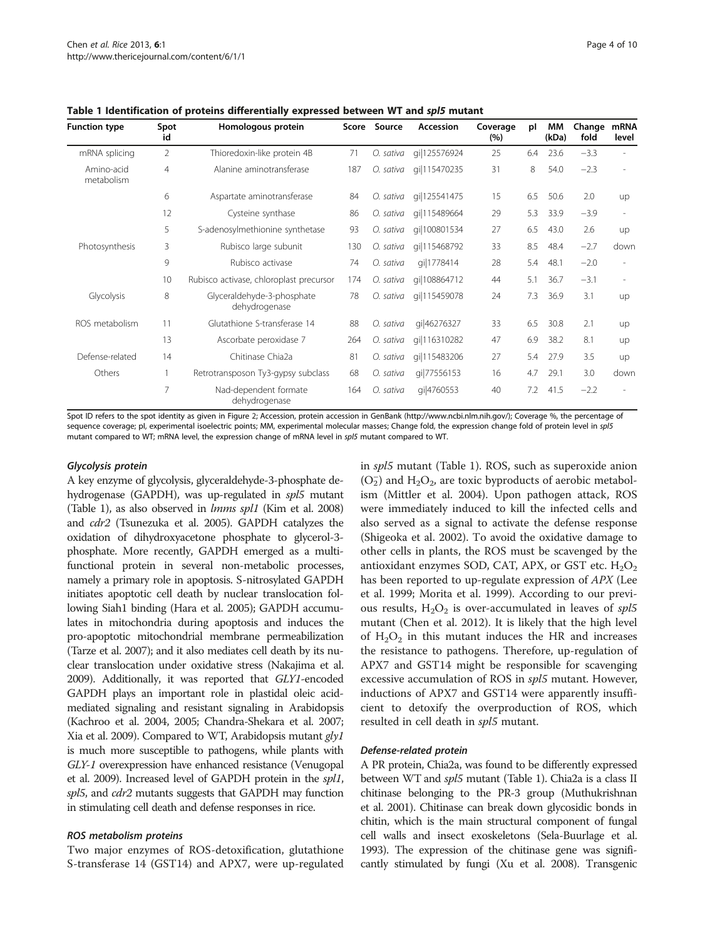| <b>Function type</b>     | Spot<br>id      | Homologous protein                          |     | Score Source | Accession    | Coverage<br>(%) | pl  | МM<br>(kDa) | Change<br>fold | <b>mRNA</b><br>level |
|--------------------------|-----------------|---------------------------------------------|-----|--------------|--------------|-----------------|-----|-------------|----------------|----------------------|
| mRNA splicing            | $\overline{2}$  | Thioredoxin-like protein 4B                 | 71  | O. sativa    | qi 125576924 | 25              | 6.4 | 23.6        | $-3.3$         |                      |
| Amino-acid<br>metabolism | 4               | Alanine aminotransferase                    | 187 | O. sativa    | qi 115470235 | 31              | 8   | 54.0        | $-2.3$         |                      |
|                          | 6               | Aspartate aminotransferase                  | 84  | O. sativa    | qi 125541475 | 15              | 6.5 | 50.6        | 2.0            | up                   |
|                          | 12              | Cysteine synthase                           | 86  | O. sativa    | gi 115489664 | 29              | 5.3 | 33.9        | $-3.9$         | ٠                    |
|                          | 5               | S-adenosylmethionine synthetase             | 93  | O. sativa    | gi 100801534 | 27              | 6.5 | 43.0        | 2.6            | up                   |
| Photosynthesis           | 3               | Rubisco large subunit                       | 130 | O. sativa    | gi 115468792 | 33              | 8.5 | 48.4        | $-2.7$         | down                 |
|                          | 9               | Rubisco activase                            | 74  | O. sativa    | qi 1778414   | 28              | 5.4 | 48.1        | $-2.0$         |                      |
|                          | 10 <sup>°</sup> | Rubisco activase, chloroplast precursor     | 174 | O. sativa    | gi 108864712 | 44              | 5.1 | 36.7        | $-3.1$         |                      |
| Glycolysis               | 8               | Glyceraldehyde-3-phosphate<br>dehydrogenase | 78  | O. sativa    | qi 115459078 | 24              | 7.3 | 36.9        | 3.1            | <b>up</b>            |
| ROS metabolism           | 11              | Glutathione S-transferase 14                | 88  | O. sativa    | gi 46276327  | 33              | 6.5 | 30.8        | 2.1            | up                   |
|                          | 13              | Ascorbate peroxidase 7                      | 264 | O. sativa    | gi 116310282 | 47              | 6.9 | 38.2        | 8.1            | up                   |
| Defense-related          | 14              | Chitinase Chia2a                            | 81  | O. sativa    | gi 115483206 | 27              | 5.4 | 27.9        | 3.5            | up                   |
| Others                   |                 | Retrotransposon Ty3-gypsy subclass          | 68  | O. sativa    | qi 77556153  | 16              | 4.7 | 29.1        | 3.0            | down                 |
|                          | 7               | Nad-dependent formate<br>dehydrogenase      | 164 | O. sativa    | gi 4760553   | 40              | 7.2 | 41.5        | $-2.2$         |                      |

<span id="page-3-0"></span>Table 1 Identification of proteins differentially expressed between WT and spl5 mutant

Spot ID refers to the spot identity as given in Figure [2](#page-2-0); Accession, protein accession in GenBank (http://www.ncbi.nlm.nih.gov/); Coverage %, the percentage of sequence coverage; pl, experimental isoelectric points; MM, experimental molecular masses; Change fold, the expression change fold of protein level in spl5 mutant compared to WT; mRNA level, the expression change of mRNA level in spl5 mutant compared to WT.

#### Glycolysis protein

A key enzyme of glycolysis, glyceraldehyde-3-phosphate dehydrogenase (GAPDH), was up-regulated in spl5 mutant (Table 1), as also observed in lmms spl1 (Kim et al. [2008](#page-8-0)) and cdr2 (Tsunezuka et al. [2005](#page-8-0)). GAPDH catalyzes the oxidation of dihydroxyacetone phosphate to glycerol-3 phosphate. More recently, GAPDH emerged as a multifunctional protein in several non-metabolic processes, namely a primary role in apoptosis. S-nitrosylated GAPDH initiates apoptotic cell death by nuclear translocation following Siah1 binding (Hara et al. [2005\)](#page-8-0); GAPDH accumulates in mitochondria during apoptosis and induces the pro-apoptotic mitochondrial membrane permeabilization (Tarze et al. [2007](#page-8-0)); and it also mediates cell death by its nuclear translocation under oxidative stress (Nakajima et al. [2009\)](#page-8-0). Additionally, it was reported that GLY1-encoded GAPDH plays an important role in plastidal oleic acidmediated signaling and resistant signaling in Arabidopsis (Kachroo et al. [2004, 2005](#page-8-0); Chandra-Shekara et al. [2007](#page-7-0); Xia et al. [2009\)](#page-9-0). Compared to WT, Arabidopsis mutant gly1 is much more susceptible to pathogens, while plants with GLY-1 overexpression have enhanced resistance (Venugopal et al. [2009\)](#page-8-0). Increased level of GAPDH protein in the spl1, spl5, and cdr2 mutants suggests that GAPDH may function in stimulating cell death and defense responses in rice.

#### ROS metabolism proteins

Two major enzymes of ROS-detoxification, glutathione S-transferase 14 (GST14) and APX7, were up-regulated in spl5 mutant (Table 1). ROS, such as superoxide anion  $(O_2^-)$  and  $H_2O_2$ , are toxic byproducts of aerobic metabolism (Mittler et al. [2004](#page-8-0)). Upon pathogen attack, ROS were immediately induced to kill the infected cells and also served as a signal to activate the defense response (Shigeoka et al. [2002\)](#page-8-0). To avoid the oxidative damage to other cells in plants, the ROS must be scavenged by the antioxidant enzymes SOD, CAT, APX, or GST etc.  $H_2O_2$ has been reported to up-regulate expression of APX (Lee et al. [1999](#page-8-0); Morita et al. [1999\)](#page-8-0). According to our previous results,  $H_2O_2$  is over-accumulated in leaves of spl5 mutant (Chen et al. [2012](#page-7-0)). It is likely that the high level of  $H_2O_2$  in this mutant induces the HR and increases the resistance to pathogens. Therefore, up-regulation of APX7 and GST14 might be responsible for scavenging excessive accumulation of ROS in *spl5* mutant. However, inductions of APX7 and GST14 were apparently insufficient to detoxify the overproduction of ROS, which resulted in cell death in spl5 mutant.

#### Defense-related protein

A PR protein, Chia2a, was found to be differently expressed between WT and *spl5* mutant (Table 1). Chia2a is a class II chitinase belonging to the PR-3 group (Muthukrishnan et al. [2001](#page-8-0)). Chitinase can break down glycosidic bonds in chitin, which is the main structural component of fungal cell walls and insect exoskeletons (Sela-Buurlage et al. [1993\)](#page-8-0). The expression of the chitinase gene was significantly stimulated by fungi (Xu et al. [2008\)](#page-9-0). Transgenic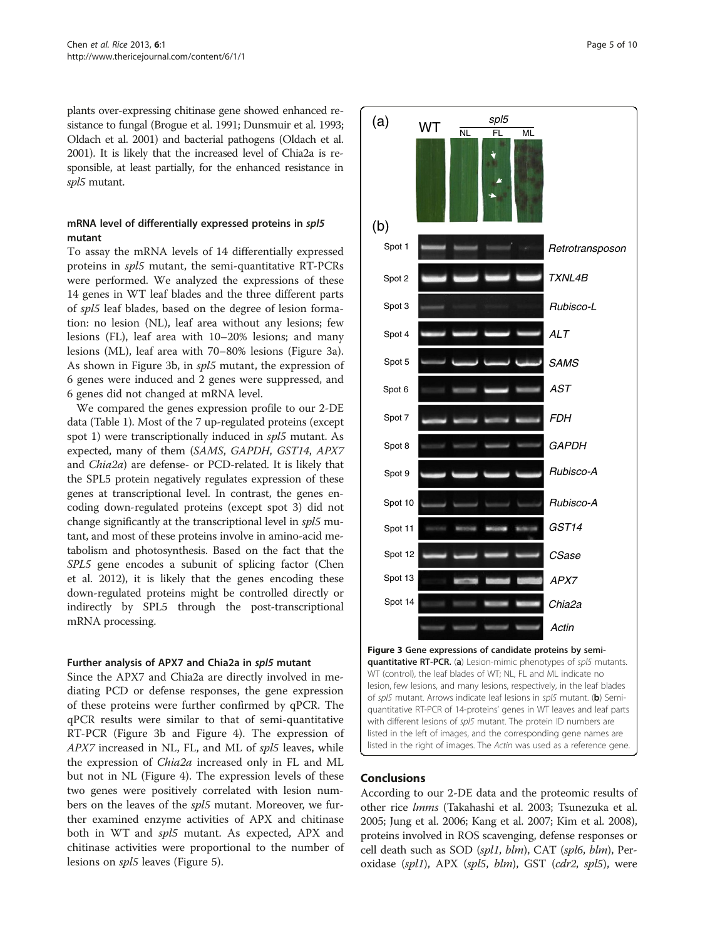<span id="page-4-0"></span>plants over-expressing chitinase gene showed enhanced resistance to fungal (Brogue et al. [1991;](#page-7-0) Dunsmuir et al. [1993](#page-7-0); Oldach et al. [2001\)](#page-8-0) and bacterial pathogens (Oldach et al. [2001\)](#page-8-0). It is likely that the increased level of Chia2a is responsible, at least partially, for the enhanced resistance in spl5 mutant.

# mRNA level of differentially expressed proteins in spl5 mutant

To assay the mRNA levels of 14 differentially expressed proteins in spl5 mutant, the semi-quantitative RT-PCRs were performed. We analyzed the expressions of these 14 genes in WT leaf blades and the three different parts of spl5 leaf blades, based on the degree of lesion formation: no lesion (NL), leaf area without any lesions; few lesions (FL), leaf area with 10–20% lesions; and many lesions (ML), leaf area with 70–80% lesions (Figure 3a). As shown in Figure 3b, in spl5 mutant, the expression of 6 genes were induced and 2 genes were suppressed, and 6 genes did not changed at mRNA level.

We compared the genes expression profile to our 2-DE data (Table [1](#page-3-0)). Most of the 7 up-regulated proteins (except spot 1) were transcriptionally induced in spl5 mutant. As expected, many of them (SAMS, GAPDH, GST14, APX7 and Chia2a) are defense- or PCD-related. It is likely that the SPL5 protein negatively regulates expression of these genes at transcriptional level. In contrast, the genes encoding down-regulated proteins (except spot 3) did not change significantly at the transcriptional level in spl5 mutant, and most of these proteins involve in amino-acid metabolism and photosynthesis. Based on the fact that the SPL5 gene encodes a subunit of splicing factor (Chen et al. [2012\)](#page-7-0), it is likely that the genes encoding these down-regulated proteins might be controlled directly or indirectly by SPL5 through the post-transcriptional mRNA processing.

# Further analysis of APX7 and Chia2a in spl5 mutant

Since the APX7 and Chia2a are directly involved in mediating PCD or defense responses, the gene expression of these proteins were further confirmed by qPCR. The qPCR results were similar to that of semi-quantitative RT-PCR (Figure 3b and Figure [4\)](#page-5-0). The expression of APX7 increased in NL, FL, and ML of spl5 leaves, while the expression of Chia2a increased only in FL and ML but not in NL (Figure [4\)](#page-5-0). The expression levels of these two genes were positively correlated with lesion numbers on the leaves of the spl5 mutant. Moreover, we further examined enzyme activities of APX and chitinase both in WT and spl5 mutant. As expected, APX and chitinase activities were proportional to the number of lesions on spl5 leaves (Figure [5\)](#page-5-0).



quantitative RT-PCR. (a) Lesion-mimic phenotypes of spl5 mutants. WT (control), the leaf blades of WT; NL, FL and ML indicate no lesion, few lesions, and many lesions, respectively, in the leaf blades of spl5 mutant. Arrows indicate leaf lesions in spl5 mutant. (b) Semiquantitative RT-PCR of 14-proteins' genes in WT leaves and leaf parts with different lesions of spl5 mutant. The protein ID numbers are listed in the left of images, and the corresponding gene names are listed in the right of images. The Actin was used as a reference gene.

# Conclusions

According to our 2-DE data and the proteomic results of other rice lmms (Takahashi et al. [2003](#page-8-0); Tsunezuka et al. [2005](#page-8-0); Jung et al. [2006](#page-8-0); Kang et al. [2007](#page-8-0); Kim et al. [2008](#page-8-0)), proteins involved in ROS scavenging, defense responses or cell death such as SOD (spl1, blm), CAT (spl6, blm), Peroxidase (spl1), APX (spl5, blm), GST (cdr2, spl5), were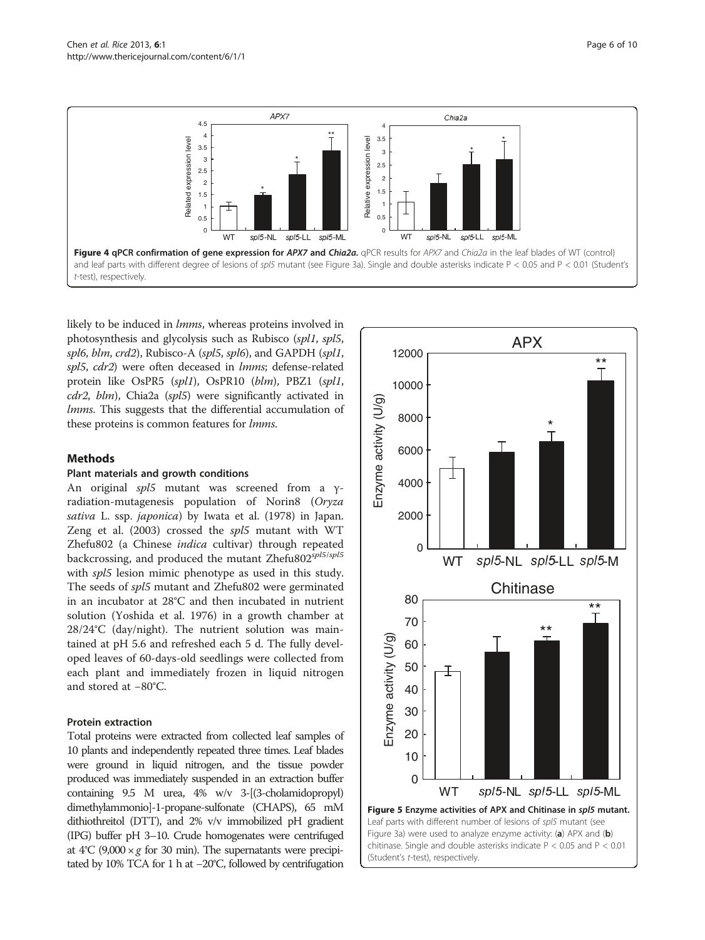<span id="page-5-0"></span>

likely to be induced in *lmms*, whereas proteins involved in photosynthesis and glycolysis such as Rubisco (spl1, spl5, spl6, blm, crd2), Rubisco-A (spl5, spl6), and GAPDH (spl1, spl5, cdr2) were often deceased in lmms; defense-related protein like OsPR5 (spl1), OsPR10 (blm), PBZ1 (spl1, cdr2, blm), Chia2a (spl5) were significantly activated in *lmms*. This suggests that the differential accumulation of these proteins is common features for lmms.

# Methods

# Plant materials and growth conditions

An original spl5 mutant was screened from a γradiation-mutagenesis population of Norin8 (Oryza sativa L. ssp. japonica) by Iwata et al. ([1978](#page-8-0)) in Japan. Zeng et al. ([2003](#page-9-0)) crossed the spl5 mutant with WT Zhefu802 (a Chinese indica cultivar) through repeated backcrossing, and produced the mutant Zhefu802<sup>spl5/spl5</sup> with  $spl5$  lesion mimic phenotype as used in this study. The seeds of spl5 mutant and Zhefu802 were germinated in an incubator at 28°C and then incubated in nutrient solution (Yoshida et al. [1976](#page-9-0)) in a growth chamber at 28/24°C (day/night). The nutrient solution was maintained at pH 5.6 and refreshed each 5 d. The fully developed leaves of 60-days-old seedlings were collected from each plant and immediately frozen in liquid nitrogen and stored at −80°C.

# Protein extraction

Total proteins were extracted from collected leaf samples of 10 plants and independently repeated three times. Leaf blades were ground in liquid nitrogen, and the tissue powder produced was immediately suspended in an extraction buffer containing 9.5 M urea, 4% w/v 3-[(3-cholamidopropyl) dimethylammonio]-1-propane-sulfonate (CHAPS), 65 mM dithiothreitol (DTT), and 2% v/v immobilized pH gradient (IPG) buffer pH 3–10. Crude homogenates were centrifuged at  $4^{\circ}C$  (9,000  $\times g$  for 30 min). The supernatants were precipitated by 10% TCA for 1 h at −20°C, followed by centrifugation

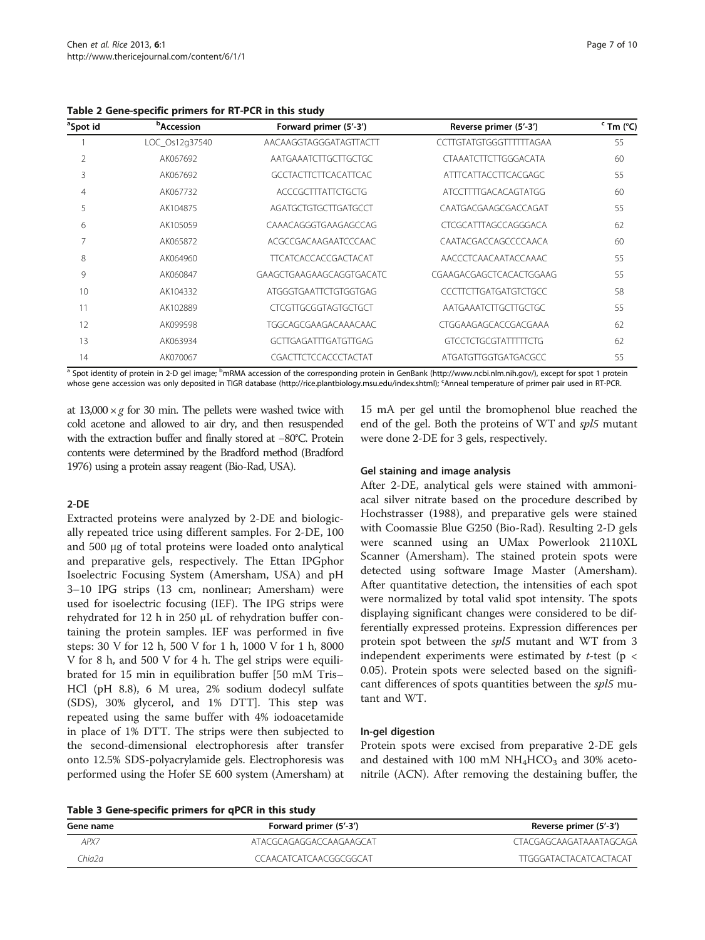<span id="page-6-0"></span>Table 2 Gene-specific primers for RT-PCR in this study

| ªSpot id | <b><i>b</i>Accession</b> | Forward primer (5'-3')      | Reverse primer (5'-3')      | $\cdot$ Tm ( $\cdot$ C) |
|----------|--------------------------|-----------------------------|-----------------------------|-------------------------|
|          | LOC_Os12q37540           | AACAAGGTAGGGATAGTTACTT      | CCTTGTATGTGGGTTTTTTAGAA     | 55                      |
| 2        | AK067692                 | AATGAAATCTTGCTTGCTGC        | <b>CTAAATCTTCTTGGGACATA</b> | 60                      |
| 3        | AK067692                 | <b>GCCTACTTCTTCACATTCAC</b> | ATTTCATTACCTTCACGAGC        | 55                      |
| 4        | AK067732                 | ACCCGCTTTATTCTGCTG          | ATCCTTTTGACACAGTATGG        | 60                      |
| 5        | AK104875                 | AGATGCTGTGCTTGATGCCT        | CAATGACGAAGCGACCAGAT        | 55                      |
| 6        | AK105059                 | CAAACAGGGTGAAGAGCCAG        | CTCGCATTTAGCCAGGGACA        | 62                      |
| 7        | AK065872                 | ACGCCGACAAGAATCCCAAC        | CAATACGACCAGCCCCAACA        | 60                      |
| 8        | AK064960                 | <b>TTCATCACCACCGACTACAT</b> | AACCCTCAACAATACCAAAC        | 55                      |
| 9        | AK060847                 | GAAGCTGAAGAAGCAGGTGACATC    | CGAAGACGAGCTCACACTGGAAG     | 55                      |
| 10       | AK104332                 | ATGGGTGAATTCTGTGGTGAG       | CCCTTCTTGATGATGTCTGCC       | 58                      |
| 11       | AK102889                 | <b>CTCGTTGCGGTAGTGCTGCT</b> | AATGAAATCTTGCTTGCTGC        | 55                      |
| 12       | AK099598                 | TGGCAGCGAAGACAAACAAC        | CTGGAAGAGCACCGACGAAA        | 62                      |
| 13       | AK063934                 | <b>GCTTGAGATTTGATGTTGAG</b> | <b>GTCCTCTGCGTATTTTCTG</b>  | 62                      |
| 14       | AK070067                 | CGACTTCTCCACCCTACTAT        | ATGATGTTGGTGATGACGCC        | 55                      |

<sup>a</sup> Spot identity of protein in 2-D gel image; <sup>b</sup>mRMA accession of the corresponding protein in GenBank (http://www.ncbi.nlm.nih.gov/), except for spot 1 protein whose gene accession was only deposited in TIGR database (http://rice.plantbiology.msu.edu/index.shtml); <sup>c</sup>Anneal temperature of primer pair used in RT-PCR.

at  $13,000 \times g$  for 30 min. The pellets were washed twice with cold acetone and allowed to air dry, and then resuspended with the extraction buffer and finally stored at −80°C. Protein contents were determined by the Bradford method (Bradford [1976\)](#page-7-0) using a protein assay reagent (Bio-Rad, USA).

#### 2-DE

Extracted proteins were analyzed by 2-DE and biologically repeated trice using different samples. For 2-DE, 100 and 500 μg of total proteins were loaded onto analytical and preparative gels, respectively. The Ettan IPGphor Isoelectric Focusing System (Amersham, USA) and pH 3–10 IPG strips (13 cm, nonlinear; Amersham) were used for isoelectric focusing (IEF). The IPG strips were rehydrated for 12 h in 250 μL of rehydration buffer containing the protein samples. IEF was performed in five steps: 30 V for 12 h, 500 V for 1 h, 1000 V for 1 h, 8000 V for 8 h, and 500 V for 4 h. The gel strips were equilibrated for 15 min in equilibration buffer [50 mM Tris– HCl (pH 8.8), 6 M urea, 2% sodium dodecyl sulfate (SDS), 30% glycerol, and 1% DTT]. This step was repeated using the same buffer with 4% iodoacetamide in place of 1% DTT. The strips were then subjected to the second-dimensional electrophoresis after transfer onto 12.5% SDS-polyacrylamide gels. Electrophoresis was performed using the Hofer SE 600 system (Amersham) at

15 mA per gel until the bromophenol blue reached the end of the gel. Both the proteins of WT and spl5 mutant were done 2-DE for 3 gels, respectively.

#### Gel staining and image analysis

After 2-DE, analytical gels were stained with ammoniacal silver nitrate based on the procedure described by Hochstrasser ([1988](#page-8-0)), and preparative gels were stained with Coomassie Blue G250 (Bio-Rad). Resulting 2-D gels were scanned using an UMax Powerlook 2110XL Scanner (Amersham). The stained protein spots were detected using software Image Master (Amersham). After quantitative detection, the intensities of each spot were normalized by total valid spot intensity. The spots displaying significant changes were considered to be differentially expressed proteins. Expression differences per protein spot between the spl5 mutant and WT from 3 independent experiments were estimated by  $t$ -test (p < 0.05). Protein spots were selected based on the significant differences of spots quantities between the spl5 mutant and WT.

# In-gel digestion

Protein spots were excised from preparative 2-DE gels and destained with 100 mM  $NH<sub>4</sub>HCO<sub>3</sub>$  and 30% acetonitrile (ACN). After removing the destaining buffer, the

Table 3 Gene-specific primers for qPCR in this study

| Table 5 Gene specific primers for grient in this staay |                         |                               |  |  |  |
|--------------------------------------------------------|-------------------------|-------------------------------|--|--|--|
| Gene name                                              | Forward primer (5'-3')  | Reverse primer (5'-3')        |  |  |  |
| APX7                                                   | ATACGCAGAGGACCAAGAAGCAT | CTACGAGCAAGATAAATAGCAGA       |  |  |  |
| Chia2a.                                                | CCAACATCATCAACGGCGGCAT  | <b>TTGGGATACTACATCACTACAT</b> |  |  |  |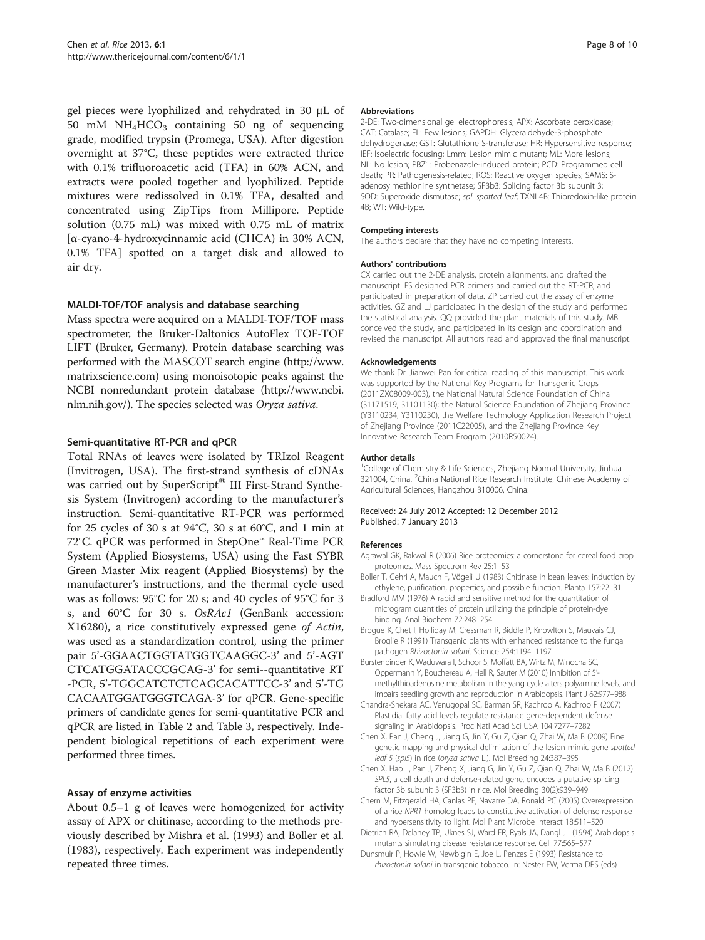<span id="page-7-0"></span>gel pieces were lyophilized and rehydrated in 30 μL of 50 mM  $NH<sub>4</sub>HCO<sub>3</sub>$  containing 50 ng of sequencing grade, modified trypsin (Promega, USA). After digestion overnight at 37°C, these peptides were extracted thrice with 0.1% trifluoroacetic acid (TFA) in 60% ACN, and extracts were pooled together and lyophilized. Peptide mixtures were redissolved in 0.1% TFA, desalted and concentrated using ZipTips from Millipore. Peptide solution (0.75 mL) was mixed with 0.75 mL of matrix [α-cyano-4-hydroxycinnamic acid (CHCA) in 30% ACN, 0.1% TFA] spotted on a target disk and allowed to air dry.

#### MALDI-TOF/TOF analysis and database searching

Mass spectra were acquired on a MALDI-TOF/TOF mass spectrometer, the Bruker-Daltonics AutoFlex TOF-TOF LIFT (Bruker, Germany). Protein database searching was performed with the MASCOT search engine ([http://www.](http://www.matrixscience.com) [matrixscience.com](http://www.matrixscience.com)) using monoisotopic peaks against the NCBI nonredundant protein database [\(http://www.ncbi.](http://www.ncbi.nlm.nih.gov/) [nlm.nih.gov/](http://www.ncbi.nlm.nih.gov/)). The species selected was Oryza sativa.

#### Semi-quantitative RT-PCR and qPCR

Total RNAs of leaves were isolated by TRIzol Reagent (Invitrogen, USA). The first-strand synthesis of cDNAs was carried out by SuperScript® III First-Strand Synthesis System (Invitrogen) according to the manufacturer's instruction. Semi-quantitative RT-PCR was performed for 25 cycles of 30 s at 94°C, 30 s at 60°C, and 1 min at 72°C. qPCR was performed in StepOne™ Real-Time PCR System (Applied Biosystems, USA) using the Fast SYBR Green Master Mix reagent (Applied Biosystems) by the manufacturer's instructions, and the thermal cycle used was as follows: 95°C for 20 s; and 40 cycles of 95°C for 3 s, and 60°C for 30 s. OsRAc1 (GenBank accession: X16280), a rice constitutively expressed gene of Actin, was used as a standardization control, using the primer pair 5'-GGAACTGGTATGGTCAAGGC-3' and 5'-AGT CTCATGGATACCCGCAG-3' for semi--quantitative RT -PCR, 5'-TGGCATCTCTCAGCACATTCC-3' and 5'-TG CACAATGGATGGGTCAGA-3' for qPCR. Gene-specific primers of candidate genes for semi-quantitative PCR and qPCR are listed in Table [2](#page-6-0) and Table [3](#page-6-0), respectively. Independent biological repetitions of each experiment were performed three times.

# Assay of enzyme activities

About 0.5–1 g of leaves were homogenized for activity assay of APX or chitinase, according to the methods previously described by Mishra et al. ([1993\)](#page-8-0) and Boller et al. (1983), respectively. Each experiment was independently repeated three times.

#### Abbreviations

2-DE: Two-dimensional gel electrophoresis; APX: Ascorbate peroxidase; CAT: Catalase; FL: Few lesions; GAPDH: Glyceraldehyde-3-phosphate dehydrogenase; GST: Glutathione S-transferase; HR: Hypersensitive response; IEF: Isoelectric focusing; Lmm: Lesion mimic mutant; ML: More lesions; NL: No lesion; PBZ1: Probenazole-induced protein; PCD: Programmed cell death; PR: Pathogenesis-related; ROS: Reactive oxygen species; SAMS: Sadenosylmethionine synthetase; SF3b3: Splicing factor 3b subunit 3; SOD: Superoxide dismutase; spl: spotted leaf; TXNL4B: Thioredoxin-like protein 4B; WT: Wild-type.

#### Competing interests

The authors declare that they have no competing interests.

#### Authors' contributions

CX carried out the 2-DE analysis, protein alignments, and drafted the manuscript. FS designed PCR primers and carried out the RT-PCR, and participated in preparation of data. ZP carried out the assay of enzyme activities. GZ and LJ participated in the design of the study and performed the statistical analysis. QQ provided the plant materials of this study. MB conceived the study, and participated in its design and coordination and revised the manuscript. All authors read and approved the final manuscript.

#### Acknowledgements

We thank Dr. Jianwei Pan for critical reading of this manuscript. This work was supported by the National Key Programs for Transgenic Crops (2011ZX08009-003), the National Natural Science Foundation of China (31171519, 31101130); the Natural Science Foundation of Zhejiang Province (Y3110234, Y3110230), the Welfare Technology Application Research Project of Zhejiang Province (2011C22005), and the Zhejiang Province Key Innovative Research Team Program (2010R50024).

#### Author details

<sup>1</sup>College of Chemistry & Life Sciences, Zhejiang Normal University, Jinhua 321004, China. <sup>2</sup>China National Rice Research Institute, Chinese Academy of Agricultural Sciences, Hangzhou 310006, China.

#### Received: 24 July 2012 Accepted: 12 December 2012 Published: 7 January 2013

# References

- Agrawal GK, Rakwal R (2006) Rice proteomics: a cornerstone for cereal food crop proteomes. Mass Spectrom Rev 25:1–53
- Boller T, Gehri A, Mauch F, Vögeli U (1983) Chitinase in bean leaves: induction by ethylene, purification, properties, and possible function. Planta 157:22–31
- Bradford MM (1976) A rapid and sensitive method for the quantitation of microgram quantities of protein utilizing the principle of protein-dye binding. Anal Biochem 72:248–254
- Brogue K, Chet I, Holliday M, Cressman R, Biddle P, Knowlton S, Mauvais CJ, Broglie R (1991) Transgenic plants with enhanced resistance to the fungal pathogen Rhizoctonia solani. Science 254:1194–1197
- Burstenbinder K, Waduwara I, Schoor S, Moffatt BA, Wirtz M, Minocha SC, Oppermann Y, Bouchereau A, Hell R, Sauter M (2010) Inhibition of 5' methylthioadenosine metabolism in the yang cycle alters polyamine levels, and impairs seedling growth and reproduction in Arabidopsis. Plant J 62:977–988
- Chandra-Shekara AC, Venugopal SC, Barman SR, Kachroo A, Kachroo P (2007) Plastidial fatty acid levels regulate resistance gene-dependent defense signaling in Arabidopsis. Proc Natl Acad Sci USA 104:7277–7282
- Chen X, Pan J, Cheng J, Jiang G, Jin Y, Gu Z, Qian Q, Zhai W, Ma B (2009) Fine genetic mapping and physical delimitation of the lesion mimic gene spotted leaf 5 (spl5) in rice (oryza sativa L.). Mol Breeding 24:387–395
- Chen X, Hao L, Pan J, Zheng X, Jiang G, Jin Y, Gu Z, Qian Q, Zhai W, Ma B (2012) SPL5, a cell death and defense-related gene, encodes a putative splicing factor 3b subunit 3 (SF3b3) in rice. Mol Breeding 30(2):939–949
- Chern M, Fitzgerald HA, Canlas PE, Navarre DA, Ronald PC (2005) Overexpression of a rice NPR1 homolog leads to constitutive activation of defense response and hypersensitivity to light. Mol Plant Microbe Interact 18:511–520
- Dietrich RA, Delaney TP, Uknes SJ, Ward ER, Ryals JA, Dangl JL (1994) Arabidopsis mutants simulating disease resistance response. Cell 77:565–577
- Dunsmuir P, Howie W, Newbigin E, Joe L, Penzes E (1993) Resistance to rhizoctonia solani in transgenic tobacco. In: Nester EW, Verma DPS (eds)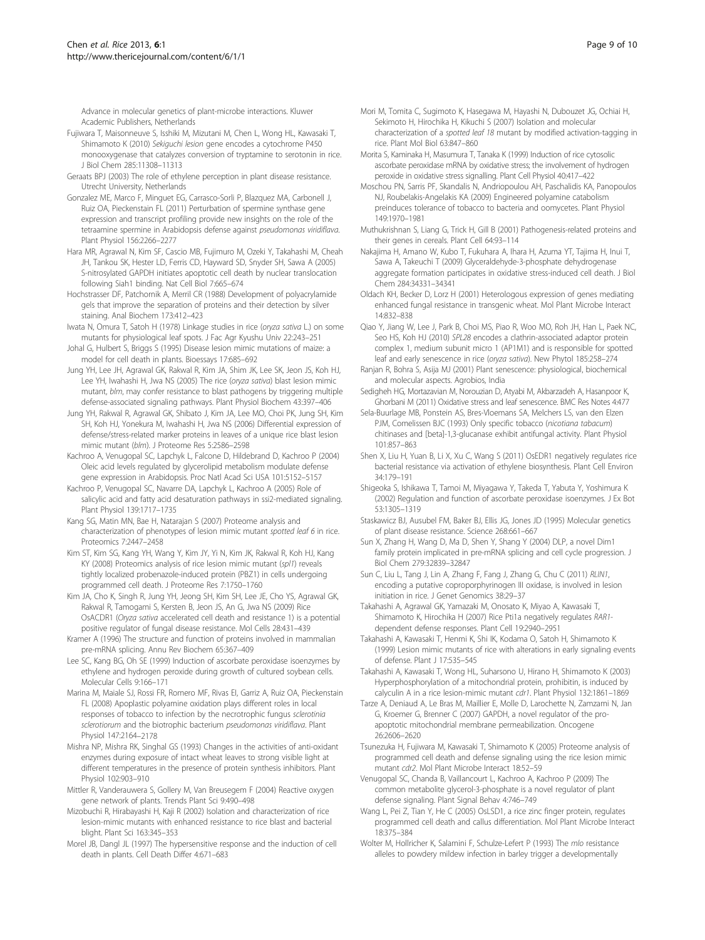<span id="page-8-0"></span>Advance in molecular genetics of plant-microbe interactions. Kluwer Academic Publishers, Netherlands

- Fujiwara T, Maisonneuve S, Isshiki M, Mizutani M, Chen L, Wong HL, Kawasaki T, Shimamoto K (2010) Sekiguchi lesion gene encodes a cytochrome P450 monooxygenase that catalyzes conversion of tryptamine to serotonin in rice. J Biol Chem 285:11308–11313
- Geraats BPJ (2003) The role of ethylene perception in plant disease resistance. Utrecht University, Netherlands
- Gonzalez ME, Marco F, Minguet EG, Carrasco-Sorli P, Blazquez MA, Carbonell J, Ruiz OA, Pieckenstain FL (2011) Perturbation of spermine synthase gene expression and transcript profiling provide new insights on the role of the tetraamine spermine in Arabidopsis defense against pseudomonas viridiflava. Plant Physiol 156:2266–2277
- Hara MR, Agrawal N, Kim SF, Cascio MB, Fujimuro M, Ozeki Y, Takahashi M, Cheah JH, Tankou SK, Hester LD, Ferris CD, Hayward SD, Snyder SH, Sawa A (2005) S-nitrosylated GAPDH initiates apoptotic cell death by nuclear translocation following Siah1 binding. Nat Cell Biol 7:665–674
- Hochstrasser DF, Patchornik A, Merril CR (1988) Development of polyacrylamide gels that improve the separation of proteins and their detection by silver staining. Anal Biochem 173:412–423
- Iwata N, Omura T, Satoh H (1978) Linkage studies in rice (oryza sativa L.) on some mutants for physiological leaf spots. J Fac Agr Kyushu Univ 22:243–251
- Johal G, Hulbert S, Briggs S (1995) Disease lesion mimic mutations of maize: a model for cell death in plants. Bioessays 17:685–692
- Jung YH, Lee JH, Agrawal GK, Rakwal R, Kim JA, Shim JK, Lee SK, Jeon JS, Koh HJ, Lee YH, Iwahashi H, Jwa NS (2005) The rice (oryza sativa) blast lesion mimic mutant, blm, may confer resistance to blast pathogens by triggering multiple defense-associated signaling pathways. Plant Physiol Biochem 43:397–406
- Jung YH, Rakwal R, Agrawal GK, Shibato J, Kim JA, Lee MO, Choi PK, Jung SH, Kim SH, Koh HJ, Yonekura M, Iwahashi H, Jwa NS (2006) Differential expression of defense/stress-related marker proteins in leaves of a unique rice blast lesion mimic mutant (blm). J Proteome Res 5:2586–2598
- Kachroo A, Venugopal SC, Lapchyk L, Falcone D, Hildebrand D, Kachroo P (2004) Oleic acid levels regulated by glycerolipid metabolism modulate defense gene expression in Arabidopsis. Proc Natl Acad Sci USA 101:5152–5157
- Kachroo P, Venugopal SC, Navarre DA, Lapchyk L, Kachroo A (2005) Role of salicylic acid and fatty acid desaturation pathways in ssi2-mediated signaling. Plant Physiol 139:1717–1735
- Kang SG, Matin MN, Bae H, Natarajan S (2007) Proteome analysis and characterization of phenotypes of lesion mimic mutant spotted leaf 6 in rice. Proteomics 7:2447–2458
- Kim ST, Kim SG, Kang YH, Wang Y, Kim JY, Yi N, Kim JK, Rakwal R, Koh HJ, Kang KY (2008) Proteomics analysis of rice lesion mimic mutant (spl1) reveals tightly localized probenazole-induced protein (PBZ1) in cells undergoing programmed cell death. J Proteome Res 7:1750–1760
- Kim JA, Cho K, Singh R, Jung YH, Jeong SH, Kim SH, Lee JE, Cho YS, Agrawal GK, Rakwal R, Tamogami S, Kersten B, Jeon JS, An G, Jwa NS (2009) Rice OsACDR1 (Oryza sativa accelerated cell death and resistance 1) is a potential positive regulator of fungal disease resistance. Mol Cells 28:431–439
- Kramer A (1996) The structure and function of proteins involved in mammalian pre-mRNA splicing. Annu Rev Biochem 65:367–409
- Lee SC, Kang BG, Oh SE (1999) Induction of ascorbate peroxidase isoenzymes by ethylene and hydrogen peroxide during growth of cultured soybean cells. Molecular Cells 9:166–171
- Marina M, Maiale SJ, Rossi FR, Romero MF, Rivas EI, Garriz A, Ruiz OA, Pieckenstain FL (2008) Apoplastic polyamine oxidation plays different roles in local responses of tobacco to infection by the necrotrophic fungus sclerotinia sclerotiorum and the biotrophic bacterium pseudomonas viridiflava. Plant Physiol 147:2164–2178
- Mishra NP, Mishra RK, Singhal GS (1993) Changes in the activities of anti-oxidant enzymes during exposure of intact wheat leaves to strong visible light at different temperatures in the presence of protein synthesis inhibitors. Plant Physiol 102:903–910
- Mittler R, Vanderauwera S, Gollery M, Van Breusegem F (2004) Reactive oxygen gene network of plants. Trends Plant Sci 9:490–498
- Mizobuchi R, Hirabayashi H, Kaji R (2002) Isolation and characterization of rice lesion-mimic mutants with enhanced resistance to rice blast and bacterial blight. Plant Sci 163:345–353
- Morel JB, Dangl JL (1997) The hypersensitive response and the induction of cell death in plants. Cell Death Differ 4:671–683
- Mori M, Tomita C, Sugimoto K, Hasegawa M, Hayashi N, Dubouzet JG, Ochiai H, Sekimoto H, Hirochika H, Kikuchi S (2007) Isolation and molecular characterization of a spotted leaf 18 mutant by modified activation-tagging in rice. Plant Mol Biol 63:847–860
- Morita S, Kaminaka H, Masumura T, Tanaka K (1999) Induction of rice cytosolic ascorbate peroxidase mRNA by oxidative stress; the involvement of hydrogen peroxide in oxidative stress signalling. Plant Cell Physiol 40:417–422
- Moschou PN, Sarris PF, Skandalis N, Andriopoulou AH, Paschalidis KA, Panopoulos NJ, Roubelakis-Angelakis KA (2009) Engineered polyamine catabolism preinduces tolerance of tobacco to bacteria and oomycetes. Plant Physiol 149:1970–1981
- Muthukrishnan S, Liang G, Trick H, Gill B (2001) Pathogenesis-related proteins and their genes in cereals. Plant Cell 64:93–114
- Nakajima H, Amano W, Kubo T, Fukuhara A, Ihara H, Azuma YT, Tajima H, Inui T, Sawa A, Takeuchi T (2009) Glyceraldehyde-3-phosphate dehydrogenase aggregate formation participates in oxidative stress-induced cell death. J Biol Chem 284:34331–34341
- Oldach KH, Becker D, Lorz H (2001) Heterologous expression of genes mediating enhanced fungal resistance in transgenic wheat. Mol Plant Microbe Interact 14:832–838
- Qiao Y, Jiang W, Lee J, Park B, Choi MS, Piao R, Woo MO, Roh JH, Han L, Paek NC, Seo HS, Koh HJ (2010) SPL28 encodes a clathrin-associated adaptor protein complex 1, medium subunit micro 1 (AP1M1) and is responsible for spotted leaf and early senescence in rice (oryza sativa). New Phytol 185:258–274
- Ranjan R, Bohra S, Asija MJ (2001) Plant senescence: physiological, biochemical and molecular aspects. Agrobios, India
- Sedigheh HG, Mortazavian M, Norouzian D, Atyabi M, Akbarzadeh A, Hasanpoor K, Ghorbani M (2011) Oxidative stress and leaf senescence. BMC Res Notes 4:477
- Sela-Buurlage MB, Ponstein AS, Bres-Vloemans SA, Melchers LS, van den Elzen PJM, Comelissen BJC (1993) Only specific tobacco (nicotiana tabacum) chitinases and [beta]-1,3-glucanase exhibit antifungal activity. Plant Physiol 101:857–863
- Shen X, Liu H, Yuan B, Li X, Xu C, Wang S (2011) OsEDR1 negatively regulates rice bacterial resistance via activation of ethylene biosynthesis. Plant Cell Environ 34:179–191
- Shigeoka S, Ishikawa T, Tamoi M, Miyagawa Y, Takeda T, Yabuta Y, Yoshimura K (2002) Regulation and function of ascorbate peroxidase isoenzymes. J Ex Bot 53:1305–1319
- Staskawicz BJ, Ausubel FM, Baker BJ, Ellis JG, Jones JD (1995) Molecular genetics of plant disease resistance. Science 268:661–667
- Sun X, Zhang H, Wang D, Ma D, Shen Y, Shang Y (2004) DLP, a novel Dim1 family protein implicated in pre-mRNA splicing and cell cycle progression. J Biol Chem 279:32839–32847
- Sun C, Liu L, Tang J, Lin A, Zhang F, Fang J, Zhang G, Chu C (2011) RLIN1, encoding a putative coproporphyrinogen III oxidase, is involved in lesion initiation in rice. J Genet Genomics 38:29–37
- Takahashi A, Agrawal GK, Yamazaki M, Onosato K, Miyao A, Kawasaki T, Shimamoto K, Hirochika H (2007) Rice Pti1a negatively regulates RAR1 dependent defense responses. Plant Cell 19:2940–2951
- Takahashi A, Kawasaki T, Henmi K, Shi IK, Kodama O, Satoh H, Shimamoto K (1999) Lesion mimic mutants of rice with alterations in early signaling events of defense. Plant J 17:535–545
- Takahashi A, Kawasaki T, Wong HL, Suharsono U, Hirano H, Shimamoto K (2003) Hyperphosphorylation of a mitochondrial protein, prohibitin, is induced by calyculin A in a rice lesion-mimic mutant cdr1. Plant Physiol 132:1861–1869
- Tarze A, Deniaud A, Le Bras M, Maillier E, Molle D, Larochette N, Zamzami N, Jan G, Kroemer G, Brenner C (2007) GAPDH, a novel regulator of the proapoptotic mitochondrial membrane permeabilization. Oncogene 26:2606–2620
- Tsunezuka H, Fujiwara M, Kawasaki T, Shimamoto K (2005) Proteome analysis of programmed cell death and defense signaling using the rice lesion mimic mutant cdr2. Mol Plant Microbe Interact 18:52–59
- Venugopal SC, Chanda B, Vaillancourt L, Kachroo A, Kachroo P (2009) The common metabolite glycerol-3-phosphate is a novel regulator of plant defense signaling. Plant Signal Behav 4:746–749
- Wang L, Pei Z, Tian Y, He C (2005) OsLSD1, a rice zinc finger protein, regulates programmed cell death and callus differentiation. Mol Plant Microbe Interact 18:375–384
- Wolter M, Hollricher K, Salamini F, Schulze-Lefert P (1993) The *mlo* resistance alleles to powdery mildew infection in barley trigger a developmentally